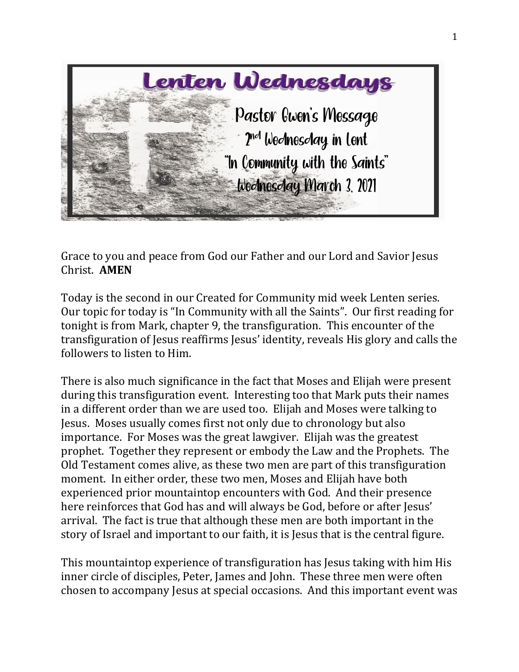

Grace to you and peace from God our Father and our Lord and Savior Jesus Christ. **AMEN**

Today is the second in our Created for Community mid week Lenten series. Our topic for today is "In Community with all the Saints". Our first reading for tonight is from Mark, chapter 9, the transfiguration. This encounter of the transfiguration of Jesus reaffirms Jesus' identity, reveals His glory and calls the followers to listen to Him.

There is also much significance in the fact that Moses and Elijah were present during this transfiguration event. Interesting too that Mark puts their names in a different order than we are used too. Elijah and Moses were talking to Jesus. Moses usually comes first not only due to chronology but also importance. For Moses was the great lawgiver. Elijah was the greatest prophet. Together they represent or embody the Law and the Prophets. The Old Testament comes alive, as these two men are part of this transfiguration moment. In either order, these two men, Moses and Elijah have both experienced prior mountaintop encounters with God. And their presence here reinforces that God has and will always be God, before or after Jesus' arrival. The fact is true that although these men are both important in the story of Israel and important to our faith, it is Jesus that is the central figure.

This mountaintop experience of transfiguration has Jesus taking with him His inner circle of disciples, Peter, James and John. These three men were often chosen to accompany Jesus at special occasions. And this important event was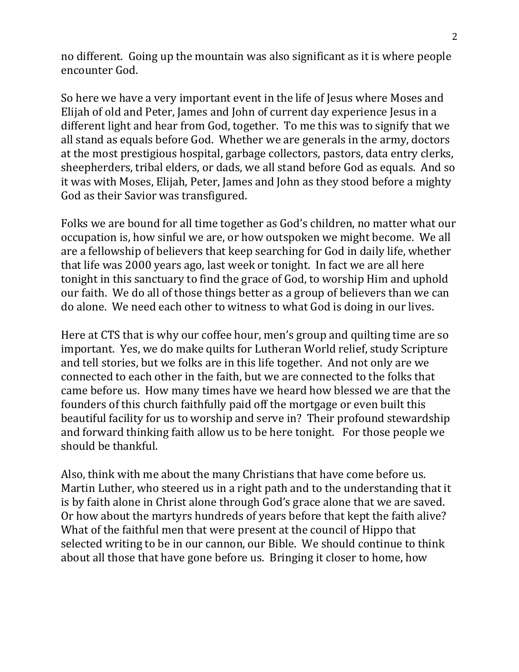no different. Going up the mountain was also significant as it is where people encounter God.

So here we have a very important event in the life of Jesus where Moses and Elijah of old and Peter, James and John of current day experience Jesus in a different light and hear from God, together. To me this was to signify that we all stand as equals before God. Whether we are generals in the army, doctors at the most prestigious hospital, garbage collectors, pastors, data entry clerks, sheepherders, tribal elders, or dads, we all stand before God as equals. And so it was with Moses, Elijah, Peter, James and John as they stood before a mighty God as their Savior was transfigured.

Folks we are bound for all time together as God's children, no matter what our occupation is, how sinful we are, or how outspoken we might become. We all are a fellowship of believers that keep searching for God in daily life, whether that life was 2000 years ago, last week or tonight. In fact we are all here tonight in this sanctuary to find the grace of God, to worship Him and uphold our faith. We do all of those things better as a group of believers than we can do alone. We need each other to witness to what God is doing in our lives.

Here at CTS that is why our coffee hour, men's group and quilting time are so important. Yes, we do make quilts for Lutheran World relief, study Scripture and tell stories, but we folks are in this life together. And not only are we connected to each other in the faith, but we are connected to the folks that came before us. How many times have we heard how blessed we are that the founders of this church faithfully paid off the mortgage or even built this beautiful facility for us to worship and serve in? Their profound stewardship and forward thinking faith allow us to be here tonight. For those people we should be thankful.

Also, think with me about the many Christians that have come before us. Martin Luther, who steered us in a right path and to the understanding that it is by faith alone in Christ alone through God's grace alone that we are saved. Or how about the martyrs hundreds of years before that kept the faith alive? What of the faithful men that were present at the council of Hippo that selected writing to be in our cannon, our Bible. We should continue to think about all those that have gone before us. Bringing it closer to home, how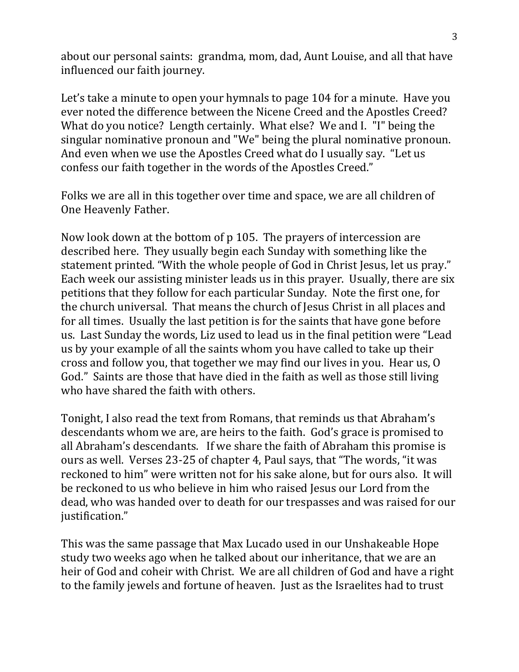about our personal saints: grandma, mom, dad, Aunt Louise, and all that have influenced our faith journey.

Let's take a minute to open your hymnals to page 104 for a minute. Have you ever noted the difference between the Nicene Creed and the Apostles Creed? What do you notice? Length certainly. What else? We and I. "I" being the singular nominative pronoun and "We" being the plural nominative pronoun. And even when we use the Apostles Creed what do I usually say. "Let us confess our faith together in the words of the Apostles Creed."

Folks we are all in this together over time and space, we are all children of One Heavenly Father.

Now look down at the bottom of p 105. The prayers of intercession are described here. They usually begin each Sunday with something like the statement printed. "With the whole people of God in Christ Jesus, let us pray." Each week our assisting minister leads us in this prayer. Usually, there are six petitions that they follow for each particular Sunday. Note the first one, for the church universal. That means the church of Jesus Christ in all places and for all times. Usually the last petition is for the saints that have gone before us. Last Sunday the words, Liz used to lead us in the final petition were "Lead us by your example of all the saints whom you have called to take up their cross and follow you, that together we may find our lives in you. Hear us, O God." Saints are those that have died in the faith as well as those still living who have shared the faith with others.

Tonight, I also read the text from Romans, that reminds us that Abraham's descendants whom we are, are heirs to the faith. God's grace is promised to all Abraham's descendants. If we share the faith of Abraham this promise is ours as well. Verses 23-25 of chapter 4, Paul says, that "The words, "it was reckoned to him" were written not for his sake alone, but for ours also. It will be reckoned to us who believe in him who raised Jesus our Lord from the dead, who was handed over to death for our trespasses and was raised for our justification."

This was the same passage that Max Lucado used in our Unshakeable Hope study two weeks ago when he talked about our inheritance, that we are an heir of God and coheir with Christ. We are all children of God and have a right to the family jewels and fortune of heaven. Just as the Israelites had to trust